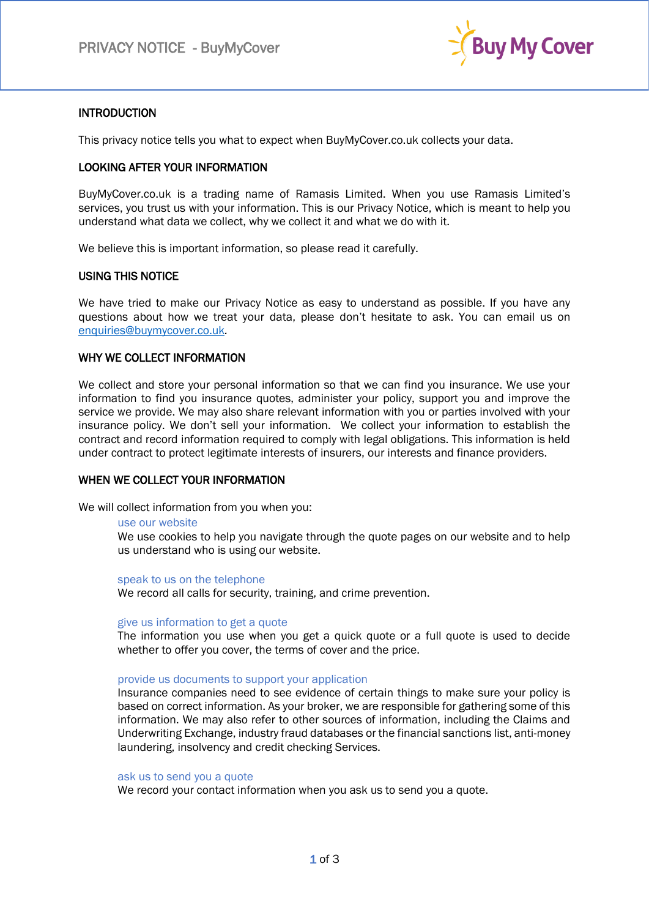

# **INTRODUCTION**

This privacy notice tells you what to expect when BuyMyCover.co.uk collects your data.

# LOOKING AFTER YOUR INFORMATION

BuyMyCover.co.uk is a trading name of Ramasis Limited. When you use Ramasis Limited's services, you trust us with your information. This is our Privacy Notice, which is meant to help you understand what data we collect, why we collect it and what we do with it.

We believe this is important information, so please read it carefully.

## USING THIS NOTICE

We have tried to make our Privacy Notice as easy to understand as possible. If you have any questions about how we treat your data, please don't hesitate to ask. You can email us on [enquiries@buymycover.co.uk](mailto:enquiries@buymycover.co.uk)*.* 

# WHY WE COLLECT INFORMATION

We collect and store your personal information so that we can find you insurance. We use your information to find you insurance quotes, administer your policy, support you and improve the service we provide. We may also share relevant information with you or parties involved with your insurance policy. We don't sell your information. We collect your information to establish the contract and record information required to comply with legal obligations. This information is held under contract to protect legitimate interests of insurers, our interests and finance providers.

## WHEN WE COLLECT YOUR INFORMATION

We will collect information from you when you:

## use our website

We use cookies to help you navigate through the quote pages on our website and to help us understand who is using our website.

speak to us on the telephone

We record all calls for security, training, and crime prevention.

## give us information to get a quote

The information you use when you get a quick quote or a full quote is used to decide whether to offer you cover, the terms of cover and the price.

## provide us documents to support your application

Insurance companies need to see evidence of certain things to make sure your policy is based on correct information. As your broker, we are responsible for gathering some of this information. We may also refer to other sources of information, including the Claims and Underwriting Exchange, industry fraud databases or the financial sanctions list, anti-money laundering, insolvency and credit checking Services.

## ask us to send you a quote

We record your contact information when you ask us to send you a quote.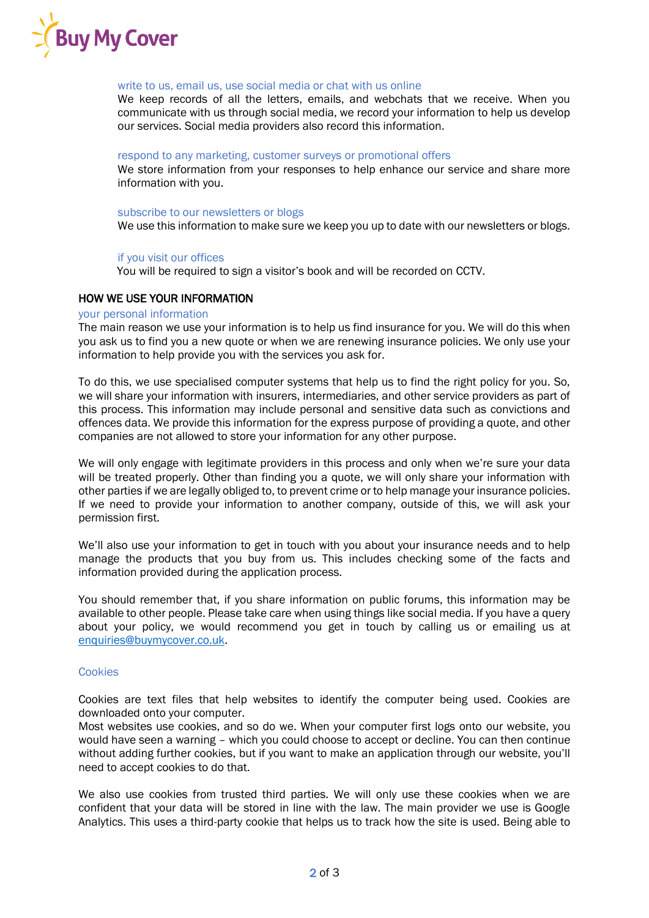

## write to us, email us, use social media or chat with us online

We keep records of all the letters, emails, and webchats that we receive. When you communicate with us through social media, we record your information to help us develop our services. Social media providers also record this information.

#### respond to any marketing, customer surveys or promotional offers

We store information from your responses to help enhance our service and share more information with you.

#### subscribe to our newsletters or blogs

We use this information to make sure we keep you up to date with our newsletters or blogs.

#### if you visit our offices

You will be required to sign a visitor's book and will be recorded on CCTV.

## HOW WE USE YOUR INFORMATION

#### your personal information

The main reason we use your information is to help us find insurance for you. We will do this when you ask us to find you a new quote or when we are renewing insurance policies. We only use your information to help provide you with the services you ask for.

To do this, we use specialised computer systems that help us to find the right policy for you. So, we will share your information with insurers, intermediaries, and other service providers as part of this process. This information may include personal and sensitive data such as convictions and offences data. We provide this information for the express purpose of providing a quote, and other companies are not allowed to store your information for any other purpose.

We will only engage with legitimate providers in this process and only when we're sure your data will be treated properly. Other than finding you a quote, we will only share your information with other parties if we are legally obliged to, to prevent crime or to help manage your insurance policies. If we need to provide your information to another company, outside of this, we will ask your permission first.

We'll also use your information to get in touch with you about your insurance needs and to help manage the products that you buy from us. This includes checking some of the facts and information provided during the application process.

You should remember that, if you share information on public forums, this information may be available to other people. Please take care when using things like social media. If you have a query about your policy, we would recommend you get in touch by calling us or emailing us at [enquiries@buymycover.co.uk.](mailto:enquiries@buymycover.co.uk)

## **Cookies**

Cookies are text files that help websites to identify the computer being used. Cookies are downloaded onto your computer.

Most websites use cookies, and so do we. When your computer first logs onto our website, you would have seen a warning – which you could choose to accept or decline. You can then continue without adding further cookies, but if you want to make an application through our website, you'll need to accept cookies to do that.

We also use cookies from trusted third parties. We will only use these cookies when we are confident that your data will be stored in line with the law. The main provider we use is Google Analytics. This uses a third-party cookie that helps us to track how the site is used. Being able to